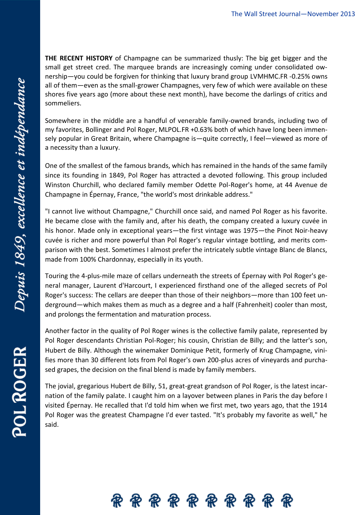**THE RECENT HISTORY** of Champagne can be summarized thusly: The big get bigger and the small get street cred. The marquee brands are increasingly coming under consolidated ownership—you could be forgiven for thinking that luxury brand group [LVMHM](http://quotes.wsj.com/FR/MC)C.FR [-0.25%](http://quotes.wsj.com/FR/MC) owns all of them—even as the small-grower Champagnes, very few of which were available on these shores five years ago (more about these next month), have become the darlings of critics and sommeliers.

Somewhere in the middle are a handful of venerable family-owned brands, including two of my favorites, Bollinger and [Pol Roger,](http://quotes.wsj.com/FR/MLPOL) [MLPOL.FR](http://quotes.wsj.com/FR/MLPOL) +0.63% both of which have long been immensely popular in Great Britain, where Champagne is—quite correctly, I feel—viewed as more of a necessity than a luxury.

One of the smallest of the famous brands, which has remained in the hands of the same family since its founding in 1849, Pol Roger has attracted a devoted following. This group included Winston Churchill, who declared family member Odette Pol-Roger's home, at 44 Avenue de Champagne in Épernay, France, "the world's most drinkable address."

"I cannot live without Champagne," Churchill once said, and named Pol Roger as his favorite. He became close with the family and, after his death, the company created a luxury cuvée in his honor. Made only in exceptional years—the first vintage was 1975—the Pinot Noir-heavy cuvée is richer and more powerful than Pol Roger's regular vintage bottling, and merits comparison with the best. Sometimes I almost prefer the intricately subtle vintage Blanc de Blancs, made from 100% Chardonnay, especially in its youth.

Touring the 4-plus-mile maze of cellars underneath the streets of Épernay with Pol Roger's general manager, Laurent d'Harcourt, I experienced firsthand one of the alleged secrets of Pol Roger's success: The cellars are deeper than those of their neighbors—more than 100 feet underground—which makes them as much as a degree and a half (Fahrenheit) cooler than most, and prolongs the fermentation and maturation process.

Another factor in the quality of Pol Roger wines is the collective family palate, represented by Pol Roger descendants Christian Pol-Roger; his cousin, Christian de Billy; and the latter's son, Hubert de Billy. Although the winemaker Dominique Petit, formerly of Krug Champagne, vinifies more than 30 different lots from Pol Roger's own 200-plus acres of vineyards and purchased grapes, the decision on the final blend is made by family members.

The jovial, gregarious Hubert de Billy, 51, great-great grandson of Pol Roger, is the latest incarnation of the family palate. I caught him on a layover between planes in Paris the day before I visited Épernay. He recalled that I'd told him when we first met, two years ago, that the 1914 Pol Roger was the greatest Champagne I'd ever tasted. "It's probably my favorite as well," he said.



POL ROGER